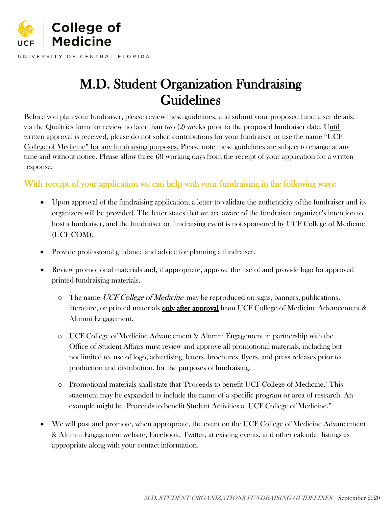

UNIVERSITY OF CENTRAL FLORIDA

# M.D. Student Organization Fundraising Guidelines

Before you plan your fundraiser, please review these guidelines, and submit your proposed fundraiser details, via the Qualtrics form for review no later than two (2) weeks prior to the proposed fundraiser date. Until written approval is received, please do not solicit contributions for your fundraiser or use the name "UCF College of Medicine" for any fundraising purposes. Please note these guidelines are subject to change at any time and without notice. Please allow three (3) working days from the receipt of your application for a written response.

## With receipt of your application we can help with your fundraising in the following ways:

- Upon approval of the fundraising application, a letter to validate the authenticity ofthe fundraiser and its organizers will be provided. The letter states that we are aware of the fundraiser organizer's intention to host a fundraiser, and the fundraiser or fundraising event is not sponsored by UCF College of Medicine (UCF COM).
- Provide professional guidance and advice for planning a fundraiser.
- Review promotional materials and, if appropriate, approve the use of and provide logo for approved printed fundraising materials.
	- $\circ$  The name UCF College of Medicine may be reproduced on signs, banners, publications, literature, or printed materials only after approval from UCF College of Medicine Advancement & Alumni Engagement.
	- o UCF College of Medicine Advancement & Alumni Engagement in partnership with the Office of Student Affairs must review and approve all promotional materials, including but not limited to, use of logo, advertising, letters, brochures, flyers, and press releases prior to production and distribution, for the purposes of fundraising.
	- o Promotional materials shall state that "Proceeds to benefit UCF College of Medicine." This statement may be expanded to include the name of a specific program or area of research. An example might be "Proceeds to benefit Student Activities at UCF College of Medicine."
- We will post and promote, when appropriate, the event on the UCF College of Medicine Advancement & Alumni Engagement website, Facebook, Twitter, at existing events, and other calendar listings as appropriate along with your contact information.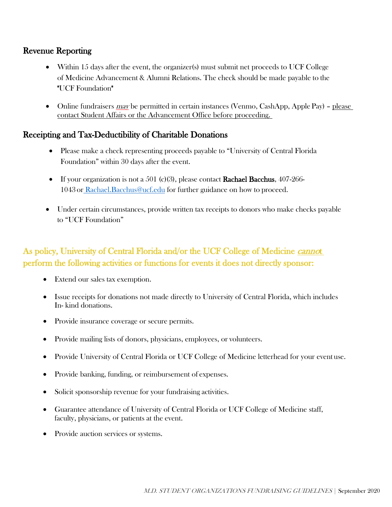## Revenue Reporting

- Within 15 days after the event, the organizer(s) must submit net proceeds to UCF College of Medicine Advancement & Alumni Relations. The check should be made payable to the "UCF Foundation"
- Online fundraisers  $m$ ay be permitted in certain instances (Venmo, CashApp, Apple Pay) please contact Student Affairs or the Advancement Office before proceeding.

## Receipting and Tax-Deductibility of Charitable Donations

- Please make a check representing proceeds payable to "University of Central Florida Foundation" [within 30 days after the](mailto:elizabeth.gordon@northwestern.edu) event.
- If your organization is not a 501 (c)(3), please contact **Rachael Bacchus**, 407-266-1043 or [Rachael.Bacchus@ucf.edu](mailto:Rachael.Bacchus@ucf.edu) for further guidance on how to proceed.
- Under certain circumstances, provide written tax receipts to donors who make checks payable to "UCF Foundation"

# As policy, University of Central Florida and/or the UCF College of Medicine *cannot* perform the following activities or functions for events it does not directly sponsor:

- Extend our sales tax exemption.
- Issue receipts for donations not made directly to University of Central Florida, which includes In- kind donations.
- Provide insurance coverage or secure permits.
- Provide mailing lists of donors, physicians, employees, or volunteers.
- Provide University of Central Florida or UCF College of Medicine letterhead for your event use.
- Provide banking, funding, or reimbursement of expenses.
- Solicit sponsorship revenue for your fundraising activities.
- Guarantee attendance of University of Central Florida or UCF College of Medicine staff, faculty, physicians, or patients at the event.
- Provide auction services or systems.